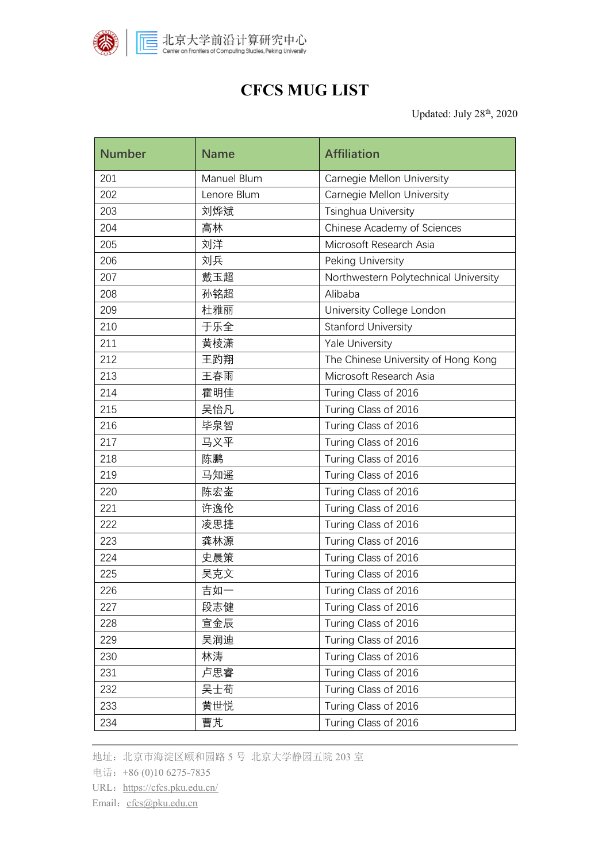

## **CFCS MUG LIST**

Updated: July 28<sup>th</sup>, 2020

| <b>Number</b> | <b>Name</b> | <b>Affiliation</b>                    |
|---------------|-------------|---------------------------------------|
| 201           | Manuel Blum | <b>Carnegie Mellon University</b>     |
| 202           | Lenore Blum | <b>Carnegie Mellon University</b>     |
| 203           | 刘烨斌         | Tsinghua University                   |
| 204           | 高林          | Chinese Academy of Sciences           |
| 205           | 刘洋          | Microsoft Research Asia               |
| 206           | 刘兵          | Peking University                     |
| 207           | 戴玉超         | Northwestern Polytechnical University |
| 208           | 孙铭超         | Alibaba                               |
| 209           | 杜雅丽         | University College London             |
| 210           | 于乐全         | <b>Stanford University</b>            |
| 211           | 黄棱潇         | <b>Yale University</b>                |
| 212           | 王趵翔         | The Chinese University of Hong Kong   |
| 213           | 王春雨         | Microsoft Research Asia               |
| 214           | 霍明佳         | Turing Class of 2016                  |
| 215           | 吴怡凡         | Turing Class of 2016                  |
| 216           | 毕泉智         | Turing Class of 2016                  |
| 217           | 马义平         | Turing Class of 2016                  |
| 218           | 陈鹏          | Turing Class of 2016                  |
| 219           | 马知遥         | Turing Class of 2016                  |
| 220           | 陈宏崟         | Turing Class of 2016                  |
| 221           | 许逸伦         | Turing Class of 2016                  |
| 222           | 凌思捷         | Turing Class of 2016                  |
| 223           | 龚林源         | Turing Class of 2016                  |
| 224           | 史晨策         | Turing Class of 2016                  |
| 225           | 吴克文         | Turing Class of 2016                  |
| 226           | 吉如一         | Turing Class of 2016                  |
| 227           | 段志健         | Turing Class of 2016                  |
| 228           | 宣金辰         | Turing Class of 2016                  |
| 229           | 吴润迪         | Turing Class of 2016                  |
| 230           | 林涛          | Turing Class of 2016                  |
| 231           | 卢思睿         | Turing Class of 2016                  |
| 232           | 吴士荀         | Turing Class of 2016                  |
| 233           | 黄世悦         | Turing Class of 2016                  |
| 234           | 曹芃          | Turing Class of 2016                  |

地址:北京市海淀区颐和园路 5 号 北京大学静园五院 203 室

电话:+86 (0)10 6275-7835

URL: https://cfcs.pku.edu.cn/

Email: [cfcs@pku.edu.cn](mailto:cfcs@pku.edu.cn)